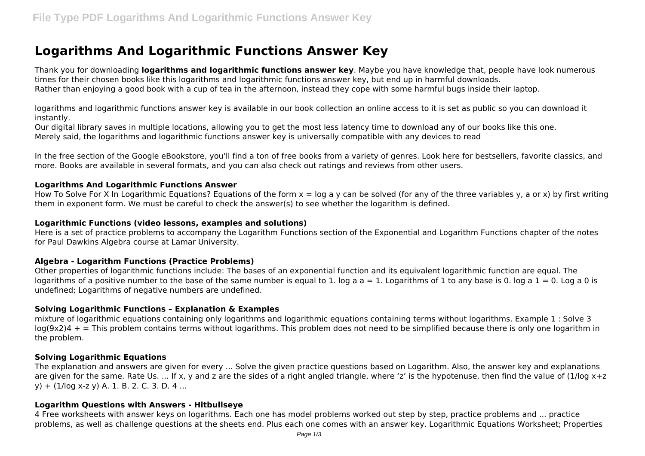# **Logarithms And Logarithmic Functions Answer Key**

Thank you for downloading **logarithms and logarithmic functions answer key**. Maybe you have knowledge that, people have look numerous times for their chosen books like this logarithms and logarithmic functions answer key, but end up in harmful downloads. Rather than enjoying a good book with a cup of tea in the afternoon, instead they cope with some harmful bugs inside their laptop.

logarithms and logarithmic functions answer key is available in our book collection an online access to it is set as public so you can download it instantly.

Our digital library saves in multiple locations, allowing you to get the most less latency time to download any of our books like this one. Merely said, the logarithms and logarithmic functions answer key is universally compatible with any devices to read

In the free section of the Google eBookstore, you'll find a ton of free books from a variety of genres. Look here for bestsellers, favorite classics, and more. Books are available in several formats, and you can also check out ratings and reviews from other users.

## **Logarithms And Logarithmic Functions Answer**

How To Solve For X In Logarithmic Equations? Equations of the form  $x = \log a$  y can be solved (for any of the three variables y, a or x) by first writing them in exponent form. We must be careful to check the answer(s) to see whether the logarithm is defined.

## **Logarithmic Functions (video lessons, examples and solutions)**

Here is a set of practice problems to accompany the Logarithm Functions section of the Exponential and Logarithm Functions chapter of the notes for Paul Dawkins Algebra course at Lamar University.

# **Algebra - Logarithm Functions (Practice Problems)**

Other properties of logarithmic functions include: The bases of an exponential function and its equivalent logarithmic function are equal. The logarithms of a positive number to the base of the same number is equal to 1. log a  $a = 1$ . Logarithms of 1 to any base is 0. log a 1 = 0. Log a 0 is undefined; Logarithms of negative numbers are undefined.

# **Solving Logarithmic Functions – Explanation & Examples**

mixture of logarithmic equations containing only logarithms and logarithmic equations containing terms without logarithms. Example 1 : Solve 3  $log(9x2)4 +$  = This problem contains terms without logarithms. This problem does not need to be simplified because there is only one logarithm in the problem.

# **Solving Logarithmic Equations**

The explanation and answers are given for every ... Solve the given practice questions based on Logarithm. Also, the answer key and explanations are given for the same. Rate Us. ... If x, y and z are the sides of a right angled triangle, where 'z' is the hypotenuse, then find the value of (1/log x+z y) + (1/log x-z y) A. 1. B. 2. C. 3. D. 4 ...

# **Logarithm Questions with Answers - Hitbullseye**

4 Free worksheets with answer keys on logarithms. Each one has model problems worked out step by step, practice problems and ... practice problems, as well as challenge questions at the sheets end. Plus each one comes with an answer key. Logarithmic Equations Worksheet; Properties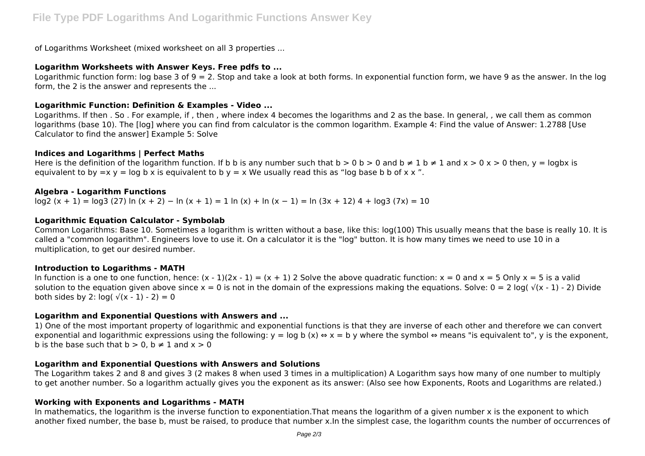of Logarithms Worksheet (mixed worksheet on all 3 properties ...

## **Logarithm Worksheets with Answer Keys. Free pdfs to ...**

Logarithmic function form: log base 3 of  $9 = 2$ . Stop and take a look at both forms. In exponential function form, we have 9 as the answer. In the log form, the 2 is the answer and represents the ...

## **Logarithmic Function: Definition & Examples - Video ...**

Logarithms. If then . So . For example, if , then , where index 4 becomes the logarithms and 2 as the base. In general, , we call them as common logarithms (base 10). The [log] where you can find from calculator is the common logarithm. Example 4: Find the value of Answer: 1.2788 [Use Calculator to find the answer] Example 5: Solve

## **Indices and Logarithms | Perfect Maths**

Here is the definition of the logarithm function. If b b is any number such that  $b > 0$  b  $> 0$  and  $b \ne 1$  b  $\ne 1$  and  $x > 0$  x  $> 0$  then, y = logbx is equivalent to by  $=x$  y = log b x is equivalent to b y = x We usually read this as "log base b b of x x ".

## **Algebra - Logarithm Functions**

log2 (x + 1) = log3 (27) ln (x + 2) − ln (x + 1) = 1 ln (x) + ln (x − 1) = ln (3x + 12) 4 + log3 (7x) = 10

## **Logarithmic Equation Calculator - Symbolab**

Common Logarithms: Base 10. Sometimes a logarithm is written without a base, like this: log(100) This usually means that the base is really 10. It is called a "common logarithm". Engineers love to use it. On a calculator it is the "log" button. It is how many times we need to use 10 in a multiplication, to get our desired number.

#### **Introduction to Logarithms - MATH**

In function is a one to one function, hence:  $(x - 1)(2x - 1) = (x + 1)$  2 Solve the above quadratic function:  $x = 0$  and  $x = 5$  Only  $x = 5$  is a valid solution to the equation given above since  $x = 0$  is not in the domain of the expressions making the equations. Solve:  $0 = 2$  log(  $\sqrt{x - 1} - 2$ ) Divide both sides by 2:  $log(y(x - 1) - 2) = 0$ 

## **Logarithm and Exponential Questions with Answers and ...**

1) One of the most important property of logarithmic and exponential functions is that they are inverse of each other and therefore we can convert exponential and logarithmic expressions using the following:  $y = \log b(x) \Leftrightarrow x = b$  y where the symbol ⇔ means "is equivalent to", y is the exponent, b is the base such that  $b > 0$ ,  $b \ne 1$  and  $x > 0$ 

#### **Logarithm and Exponential Questions with Answers and Solutions**

The Logarithm takes 2 and 8 and gives 3 (2 makes 8 when used 3 times in a multiplication) A Logarithm says how many of one number to multiply to get another number. So a logarithm actually gives you the exponent as its answer: (Also see how Exponents, Roots and Logarithms are related.)

# **Working with Exponents and Logarithms - MATH**

In mathematics, the logarithm is the inverse function to exponentiation.That means the logarithm of a given number x is the exponent to which another fixed number, the base b, must be raised, to produce that number x.In the simplest case, the logarithm counts the number of occurrences of